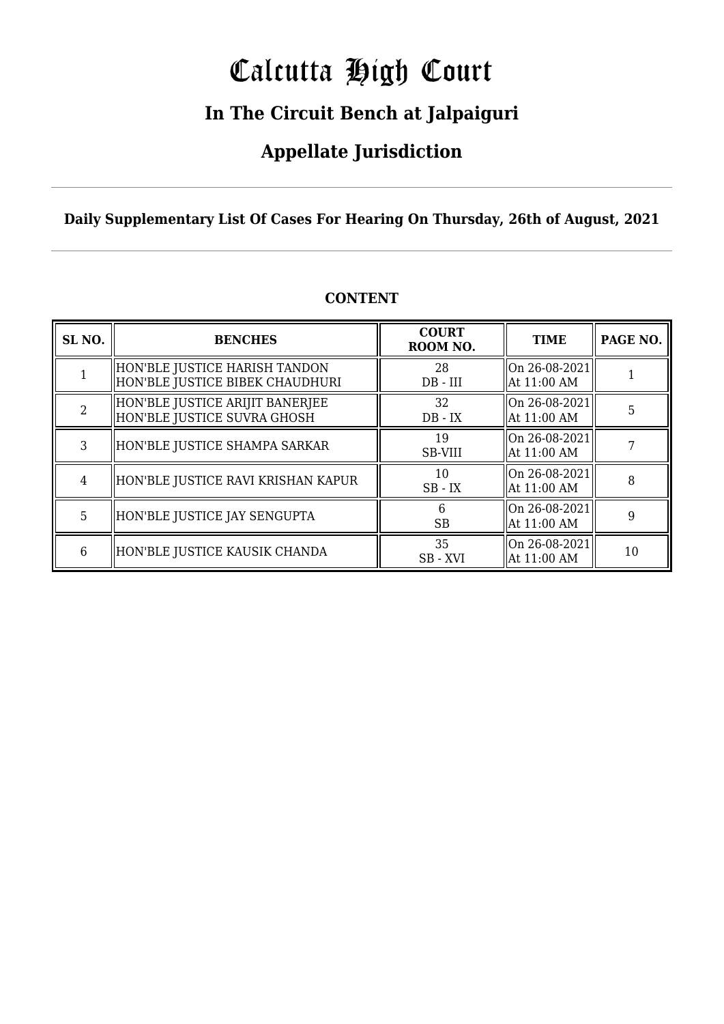# Calcutta High Court

# **In The Circuit Bench at Jalpaiguri**

# **Appellate Jurisdiction**

**Daily Supplementary List Of Cases For Hearing On Thursday, 26th of August, 2021**

| SL <sub>NO.</sub> | <b>BENCHES</b>                                                   | <b>COURT</b><br>ROOM NO. | <b>TIME</b>                    | PAGE NO. |
|-------------------|------------------------------------------------------------------|--------------------------|--------------------------------|----------|
|                   | HON'BLE JUSTICE HARISH TANDON<br>HON'BLE JUSTICE BIBEK CHAUDHURI | 28<br>$DB - III$         | On 26-08-2021<br>  At 11:00 AM |          |
|                   | HON'BLE JUSTICE ARIJIT BANERJEE<br>HON'BLE JUSTICE SUVRA GHOSH   | 32<br>$DB - IX$          | On 26-08-2021<br>  At 11:00 AM | 5        |
| 3                 | HON'BLE JUSTICE SHAMPA SARKAR                                    | 19<br>SB-VIII            | On 26-08-2021<br>  At 11:00 AM |          |
| 4                 | HON'BLE JUSTICE RAVI KRISHAN KAPUR                               | 10<br>$SB$ - $IX$        | On 26-08-2021<br>  At 11:00 AM | 8        |
| 5                 | HON'BLE JUSTICE JAY SENGUPTA                                     | <b>SB</b>                | On 26-08-2021<br>At 11:00 AM   | 9        |
| 6                 | HON'BLE JUSTICE KAUSIK CHANDA                                    | 35<br>SB - XVI           | On 26-08-2021<br>  At 11:00 AM | 10       |

# **CONTENT**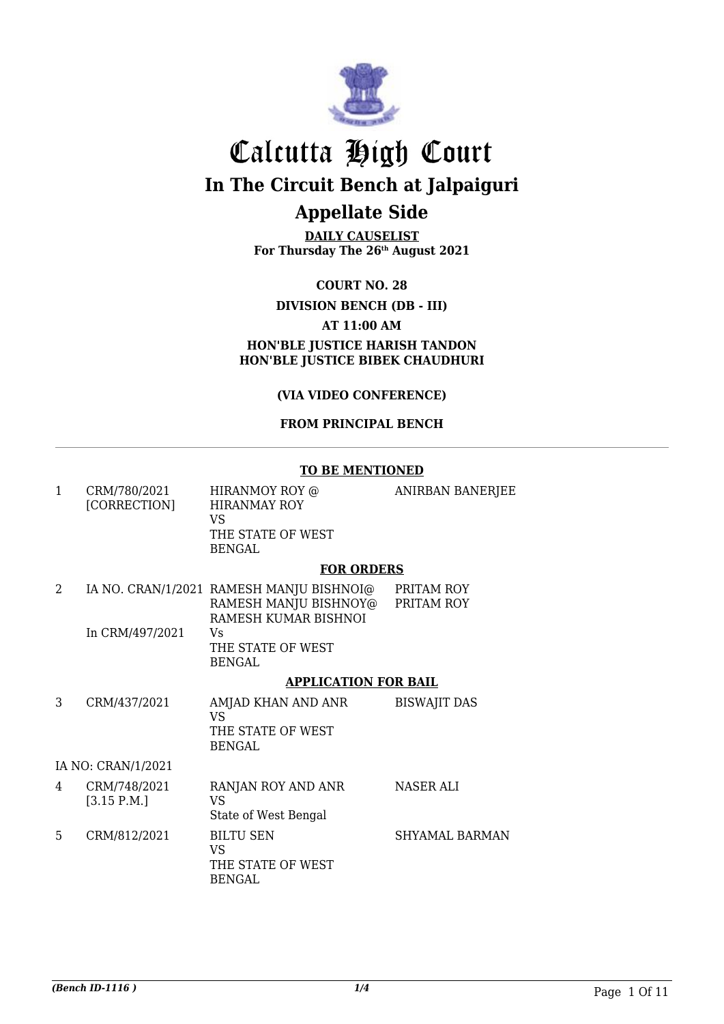

**DAILY CAUSELIST For Thursday The 26th August 2021**

**COURT NO. 28**

### **DIVISION BENCH (DB - III)**

#### **AT 11:00 AM**

**HON'BLE JUSTICE HARISH TANDON HON'BLE JUSTICE BIBEK CHAUDHURI**

**(VIA VIDEO CONFERENCE)**

#### **FROM PRINCIPAL BENCH**

#### **TO BE MENTIONED**

| $\mathbf{1}$   | CRM/780/2021<br>[CORRECTION] | HIRANMOY ROY @<br><b>HIRANMAY ROY</b><br>VS<br>THE STATE OF WEST<br><b>BENGAL</b>               | ANIRBAN BANERJEE         |
|----------------|------------------------------|-------------------------------------------------------------------------------------------------|--------------------------|
|                |                              | <b>FOR ORDERS</b>                                                                               |                          |
| $\overline{2}$ | In CRM/497/2021              | IA NO. CRAN/1/2021 RAMESH MANJU BISHNOI@<br>RAMESH MANJU BISHNOY@<br>RAMESH KUMAR BISHNOI<br>Vs | PRITAM ROY<br>PRITAM ROY |
|                |                              | THE STATE OF WEST<br><b>BENGAL</b>                                                              |                          |
|                |                              | <b>APPLICATION FOR BAIL</b>                                                                     |                          |
| 3              | CRM/437/2021                 | AMJAD KHAN AND ANR<br><b>VS</b><br>THE STATE OF WEST<br><b>BENGAL</b>                           | <b>BISWAJIT DAS</b>      |
|                | IA NO: CRAN/1/2021           |                                                                                                 |                          |
| 4              | CRM/748/2021<br>[3.15 P.M.]  | RANJAN ROY AND ANR<br><b>VS</b><br>State of West Bengal                                         | <b>NASER ALI</b>         |
| 5              | CRM/812/2021                 | <b>BILTU SEN</b><br><b>VS</b><br>THE STATE OF WEST<br><b>BENGAL</b>                             | <b>SHYAMAL BARMAN</b>    |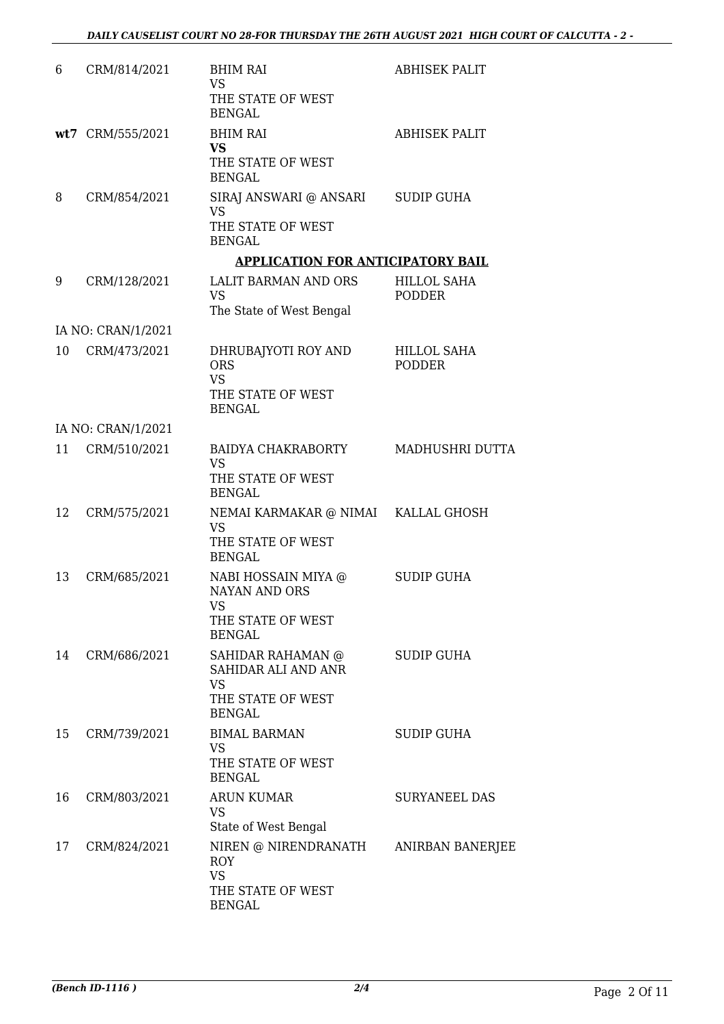| 6  | CRM/814/2021       | <b>BHIM RAI</b><br>VS.<br>THE STATE OF WEST<br><b>BENGAL</b>                                           | <b>ABHISEK PALIT</b>                |
|----|--------------------|--------------------------------------------------------------------------------------------------------|-------------------------------------|
|    | wt7 CRM/555/2021   | <b>BHIM RAI</b><br><b>VS</b><br>THE STATE OF WEST<br><b>BENGAL</b>                                     | <b>ABHISEK PALIT</b>                |
| 8  | CRM/854/2021       | SIRAJ ANSWARI @ ANSARI<br>VS<br>THE STATE OF WEST<br><b>BENGAL</b>                                     | <b>SUDIP GUHA</b>                   |
|    |                    | <b>APPLICATION FOR ANTICIPATORY BAIL</b>                                                               |                                     |
| 9  | CRM/128/2021       | LALIT BARMAN AND ORS<br><b>VS</b><br>The State of West Bengal                                          | <b>HILLOL SAHA</b><br><b>PODDER</b> |
|    | IA NO: CRAN/1/2021 |                                                                                                        |                                     |
| 10 | CRM/473/2021       | DHRUBAJYOTI ROY AND<br><b>ORS</b><br><b>VS</b><br>THE STATE OF WEST<br><b>BENGAL</b>                   | HILLOL SAHA<br><b>PODDER</b>        |
|    | IA NO: CRAN/1/2021 |                                                                                                        |                                     |
| 11 | CRM/510/2021       | BAIDYA CHAKRABORTY<br><b>VS</b><br>THE STATE OF WEST<br><b>BENGAL</b>                                  | MADHUSHRI DUTTA                     |
| 12 | CRM/575/2021       | NEMAI KARMAKAR @ NIMAI KALLAL GHOSH<br><b>VS</b><br>THE STATE OF WEST<br><b>BENGAL</b>                 |                                     |
| 13 | CRM/685/2021       | NABI HOSSAIN MIYA @<br><b>NAYAN AND ORS</b><br>VS<br>THE STATE OF WEST<br><b>BENGAL</b>                | <b>SUDIP GUHA</b>                   |
| 14 | CRM/686/2021       | SAHIDAR RAHAMAN @<br>SAHIDAR ALI AND ANR<br><b>VS</b><br>THE STATE OF WEST<br><b>BENGAL</b>            | <b>SUDIP GUHA</b>                   |
| 15 | CRM/739/2021       | <b>BIMAL BARMAN</b><br>VS<br>THE STATE OF WEST<br><b>BENGAL</b>                                        | <b>SUDIP GUHA</b>                   |
| 16 | CRM/803/2021       | <b>ARUN KUMAR</b><br><b>VS</b><br>State of West Bengal                                                 | <b>SURYANEEL DAS</b>                |
| 17 | CRM/824/2021       | NIREN @ NIRENDRANATH ANIRBAN BANERJEE<br><b>ROY</b><br><b>VS</b><br>THE STATE OF WEST<br><b>BENGAL</b> |                                     |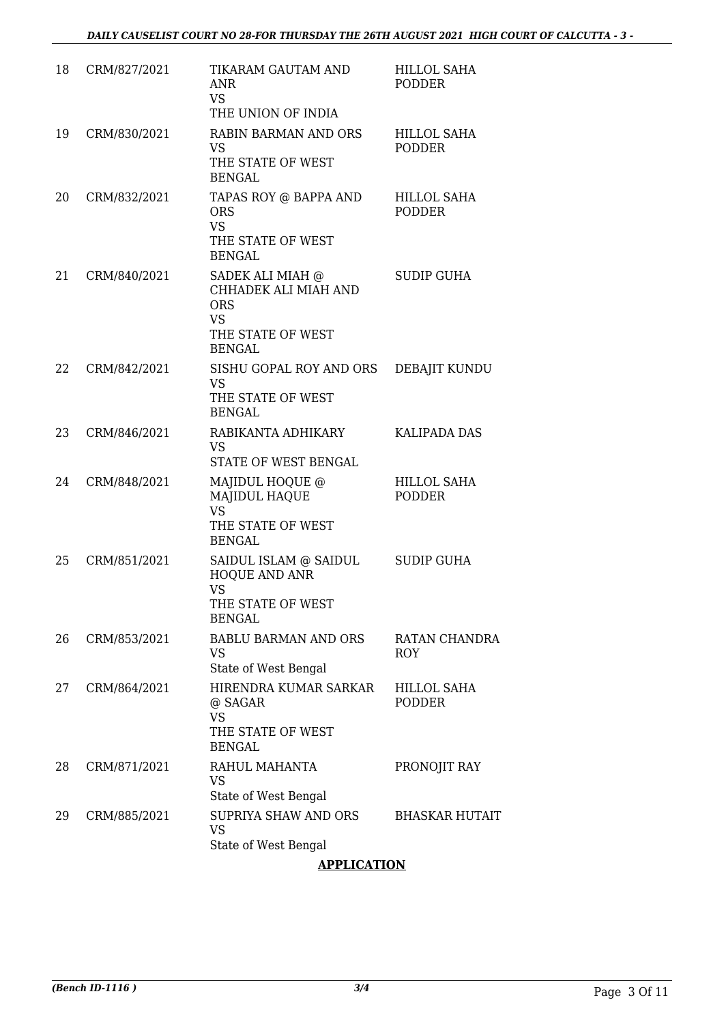| 18 | CRM/827/2021 | TIKARAM GAUTAM AND<br>ANR.<br><b>VS</b><br>THE UNION OF INDIA                                             | <b>HILLOL SAHA</b><br><b>PODDER</b> |
|----|--------------|-----------------------------------------------------------------------------------------------------------|-------------------------------------|
| 19 | CRM/830/2021 | <b>RABIN BARMAN AND ORS</b><br><b>VS</b><br>THE STATE OF WEST<br><b>BENGAL</b>                            | <b>HILLOL SAHA</b><br><b>PODDER</b> |
| 20 | CRM/832/2021 | TAPAS ROY @ BAPPA AND<br><b>ORS</b><br><b>VS</b><br>THE STATE OF WEST<br><b>BENGAL</b>                    | <b>HILLOL SAHA</b><br><b>PODDER</b> |
| 21 | CRM/840/2021 | SADEK ALI MIAH @<br>CHHADEK ALI MIAH AND<br><b>ORS</b><br><b>VS</b><br>THE STATE OF WEST<br><b>BENGAL</b> | <b>SUDIP GUHA</b>                   |
| 22 | CRM/842/2021 | SISHU GOPAL ROY AND ORS<br><b>VS</b><br>THE STATE OF WEST<br><b>BENGAL</b>                                | <b>DEBAJIT KUNDU</b>                |
| 23 | CRM/846/2021 | RABIKANTA ADHIKARY<br><b>VS</b><br>STATE OF WEST BENGAL                                                   | <b>KALIPADA DAS</b>                 |
| 24 | CRM/848/2021 | MAJIDUL HOQUE @<br>MAJIDUL HAQUE<br><b>VS</b><br>THE STATE OF WEST<br><b>BENGAL</b>                       | HILLOL SAHA<br><b>PODDER</b>        |
| 25 | CRM/851/2021 | SAIDUL ISLAM @ SAIDUL<br>HOQUE AND ANR<br><b>VS</b><br>THE STATE OF WEST<br><b>BENGAL</b>                 | <b>SUDIP GUHA</b>                   |
| 26 | CRM/853/2021 | <b>BABLU BARMAN AND ORS</b><br><b>VS</b><br>State of West Bengal                                          | <b>RATAN CHANDRA</b><br><b>ROY</b>  |
| 27 | CRM/864/2021 | HIRENDRA KUMAR SARKAR<br>@ SAGAR<br><b>VS</b><br>THE STATE OF WEST<br><b>BENGAL</b>                       | <b>HILLOL SAHA</b><br><b>PODDER</b> |
| 28 | CRM/871/2021 | RAHUL MAHANTA<br><b>VS</b><br>State of West Bengal                                                        | PRONOJIT RAY                        |
| 29 | CRM/885/2021 | SUPRIYA SHAW AND ORS<br><b>VS</b><br>State of West Bengal                                                 | <b>BHASKAR HUTAIT</b>               |

## **APPLICATION**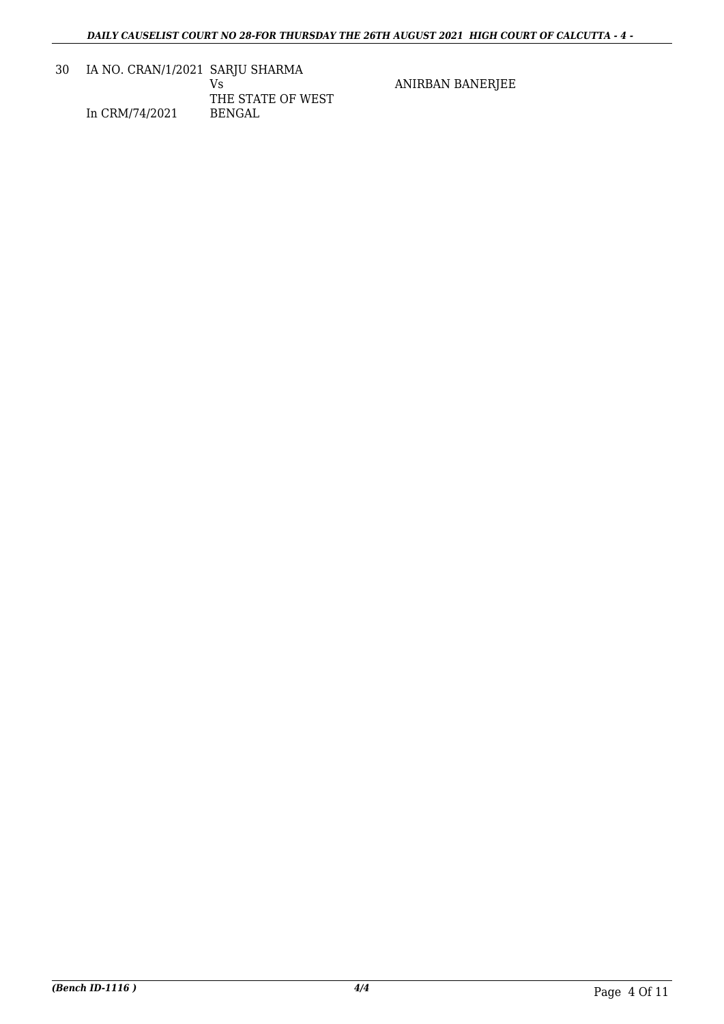30 IA NO. CRAN/1/2021 SARJU SHARMA In CRM/74/2021 Vs THE STATE OF WEST BENGAL

ANIRBAN BANERJEE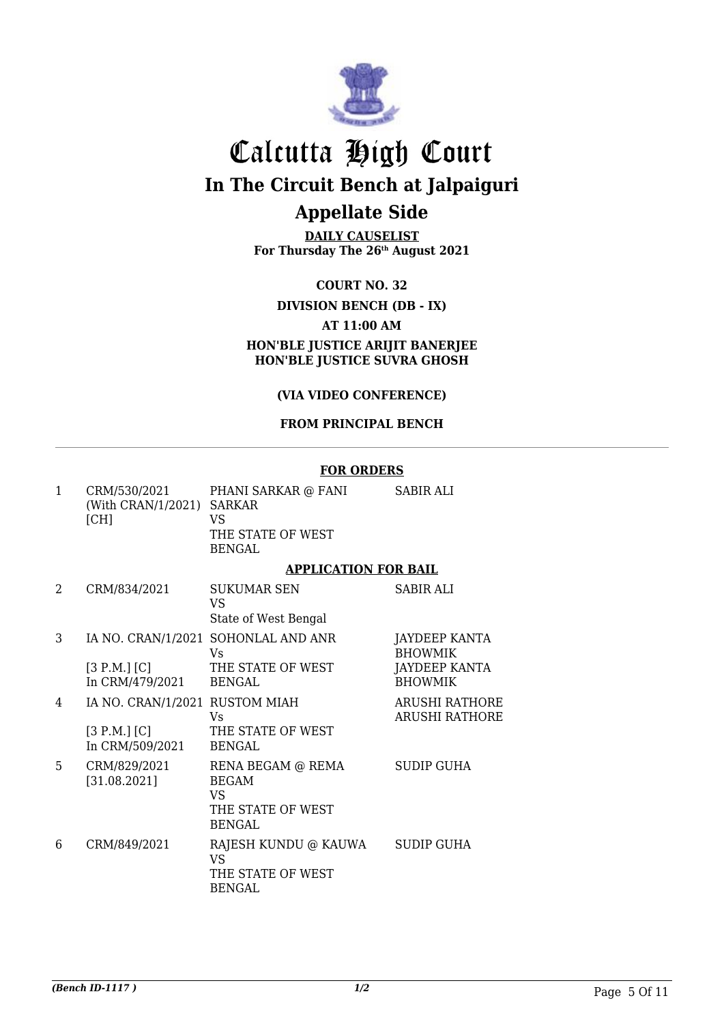

**DAILY CAUSELIST For Thursday The 26th August 2021**

**COURT NO. 32**

### **DIVISION BENCH (DB - IX)**

#### **AT 11:00 AM**

**HON'BLE JUSTICE ARIJIT BANERJEE HON'BLE JUSTICE SUVRA GHOSH**

# **(VIA VIDEO CONFERENCE)**

#### **FROM PRINCIPAL BENCH**

#### **FOR ORDERS**

| 1 | CRM/530/2021<br>(With CRAN/1/2021) SARKAR<br>[CH]                 | PHANI SARKAR @ FANI<br>VS<br>THE STATE OF WEST<br><b>BENGAL</b>                      | <b>SABIR ALI</b>                                                                 |
|---|-------------------------------------------------------------------|--------------------------------------------------------------------------------------|----------------------------------------------------------------------------------|
|   |                                                                   | <b>APPLICATION FOR BAIL</b>                                                          |                                                                                  |
| 2 | CRM/834/2021                                                      | <b>SUKUMAR SEN</b><br>VS<br>State of West Bengal                                     | <b>SABIR ALI</b>                                                                 |
| 3 | [3 P.M.] [C]<br>In CRM/479/2021                                   | IA NO. CRAN/1/2021 SOHONLAL AND ANR<br>Vs<br>THE STATE OF WEST<br><b>BENGAL</b>      | <b>JAYDEEP KANTA</b><br><b>BHOWMIK</b><br><b>JAYDEEP KANTA</b><br><b>BHOWMIK</b> |
| 4 | IA NO. CRAN/1/2021 RUSTOM MIAH<br>[3 P.M.] [C]<br>In CRM/509/2021 | Vs<br>THE STATE OF WEST<br><b>BENGAL</b>                                             | <b>ARUSHI RATHORE</b><br><b>ARUSHI RATHORE</b>                                   |
| 5 | CRM/829/2021<br>[31.08.2021]                                      | RENA BEGAM @ REMA<br><b>BEGAM</b><br><b>VS</b><br>THE STATE OF WEST<br><b>BENGAL</b> | <b>SUDIP GUHA</b>                                                                |
| 6 | CRM/849/2021                                                      | RAJESH KUNDU @ KAUWA<br><b>VS</b><br>THE STATE OF WEST<br><b>BENGAL</b>              | SUDIP GUHA                                                                       |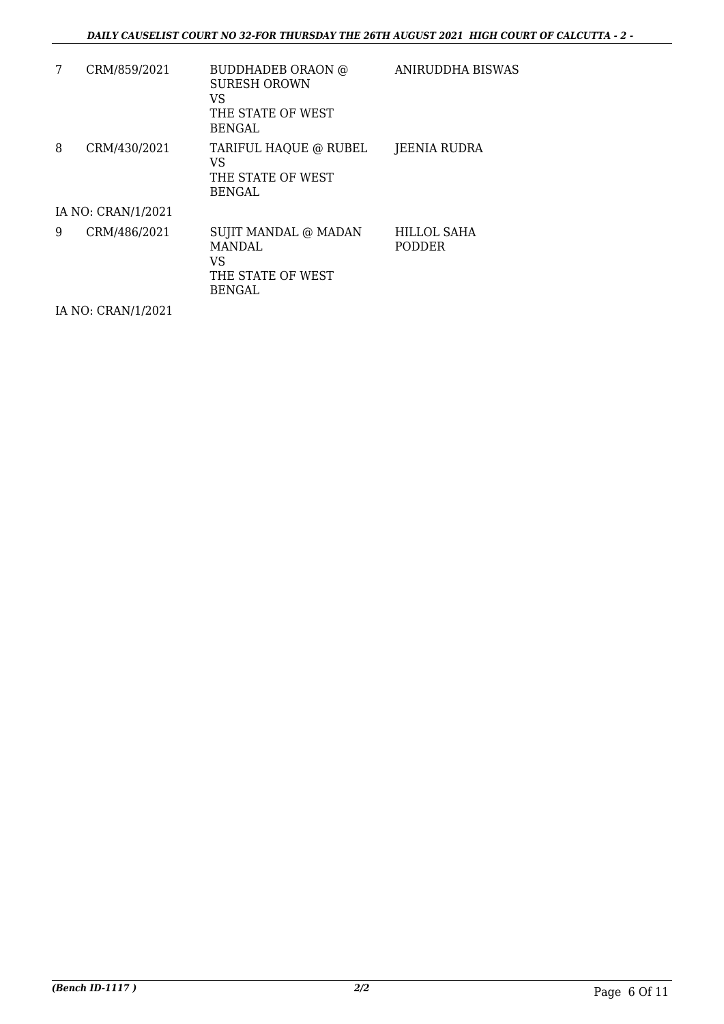| 7 | CRM/859/2021       | BUDDHADEB ORAON @<br><b>SURESH OROWN</b><br>VS<br>THE STATE OF WEST<br><b>BENGAL</b> | ANIRUDDHA BISWAS             |
|---|--------------------|--------------------------------------------------------------------------------------|------------------------------|
| 8 | CRM/430/2021       | TARIFUL HAQUE @ RUBEL<br>VS<br>THE STATE OF WEST<br><b>BENGAL</b>                    | JEENIA RUDRA                 |
|   | IA NO: CRAN/1/2021 |                                                                                      |                              |
| 9 | CRM/486/2021       | SUJIT MANDAL @ MADAN<br><b>MANDAL</b><br>VS<br>THE STATE OF WEST<br><b>BENGAL</b>    | HILLOL SAHA<br><b>PODDER</b> |

IA NO: CRAN/1/2021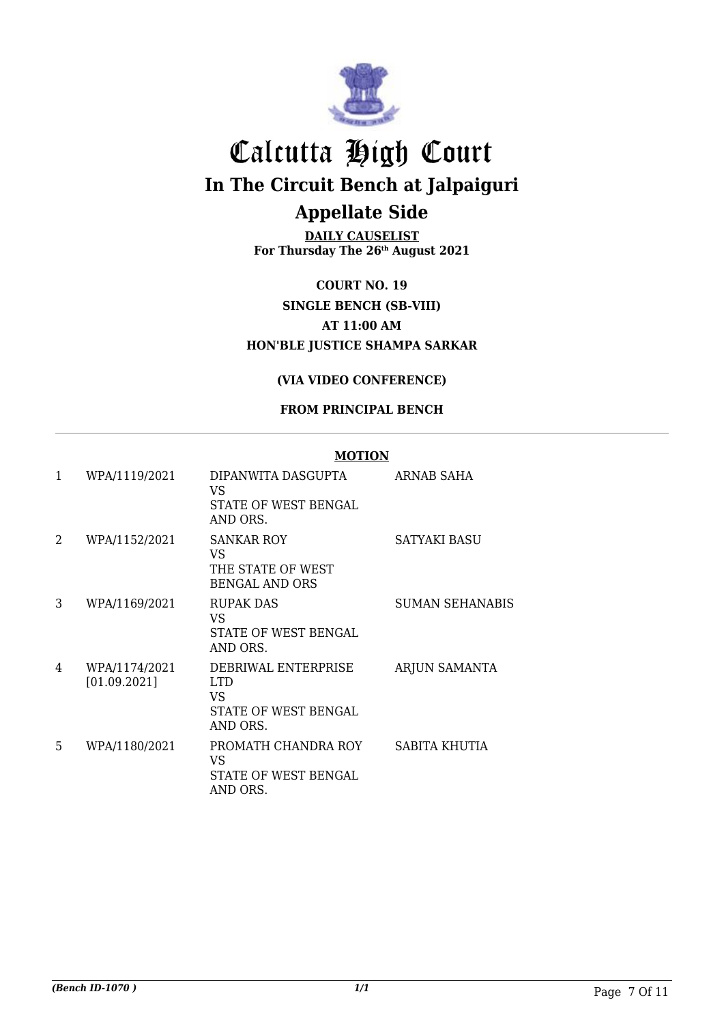

**DAILY CAUSELIST For Thursday The 26th August 2021**

**COURT NO. 19 SINGLE BENCH (SB-VIII) AT 11:00 AM HON'BLE JUSTICE SHAMPA SARKAR**

## **(VIA VIDEO CONFERENCE)**

## **FROM PRINCIPAL BENCH**

#### **MOTION**

| 1  | WPA/1119/2021                 | DIPANWITA DASGUPTA<br>VS.<br>STATE OF WEST BENGAL<br>AND ORS.               | ARNAB SAHA             |
|----|-------------------------------|-----------------------------------------------------------------------------|------------------------|
| 2  | WPA/1152/2021                 | <b>SANKAR ROY</b><br>VS<br>THE STATE OF WEST<br><b>BENGAL AND ORS</b>       | SATYAKI BASU           |
| 3  | WPA/1169/2021                 | <b>RUPAK DAS</b><br>VS<br>STATE OF WEST BENGAL<br>AND ORS.                  | <b>SUMAN SEHANABIS</b> |
| 4  | WPA/1174/2021<br>[01.09.2021] | DEBRIWAL ENTERPRISE<br><b>LTD</b><br>VS<br>STATE OF WEST BENGAL<br>AND ORS. | <b>ARJUN SAMANTA</b>   |
| 5. | WPA/1180/2021                 | PROMATH CHANDRA ROY<br>VS<br><b>STATE OF WEST BENGAL</b><br>AND ORS.        | SABITA KHUTIA          |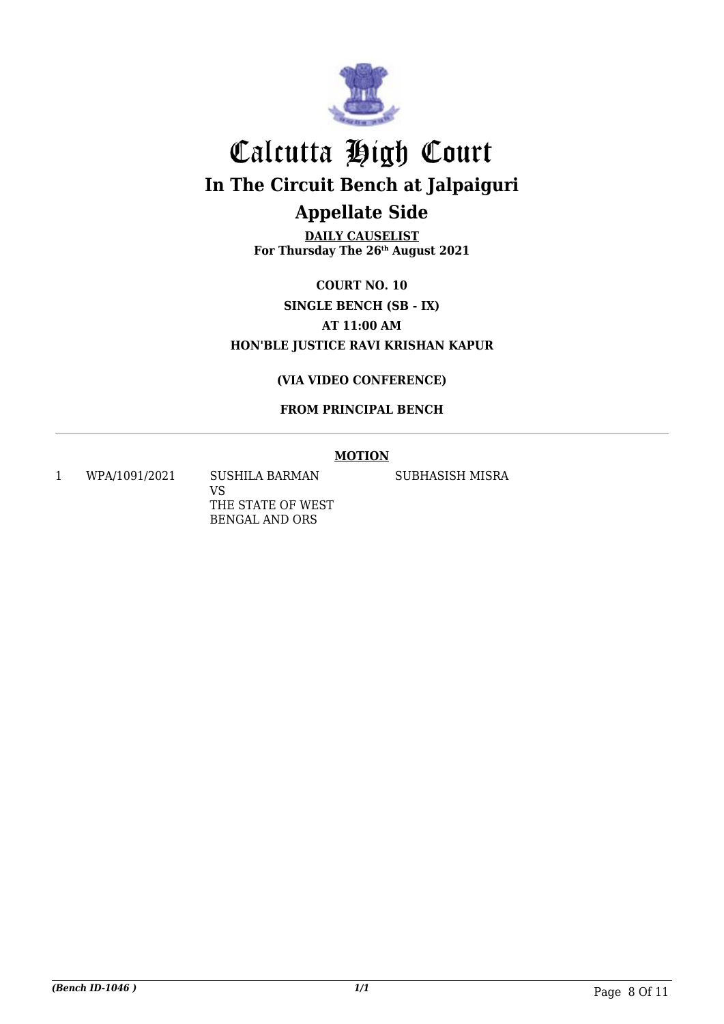

**DAILY CAUSELIST For Thursday The 26th August 2021**

**COURT NO. 10 SINGLE BENCH (SB - IX) AT 11:00 AM HON'BLE JUSTICE RAVI KRISHAN KAPUR**

## **(VIA VIDEO CONFERENCE)**

# **FROM PRINCIPAL BENCH**

### **MOTION**

1 WPA/1091/2021 SUSHILA BARMAN

VS THE STATE OF WEST BENGAL AND ORS

SUBHASISH MISRA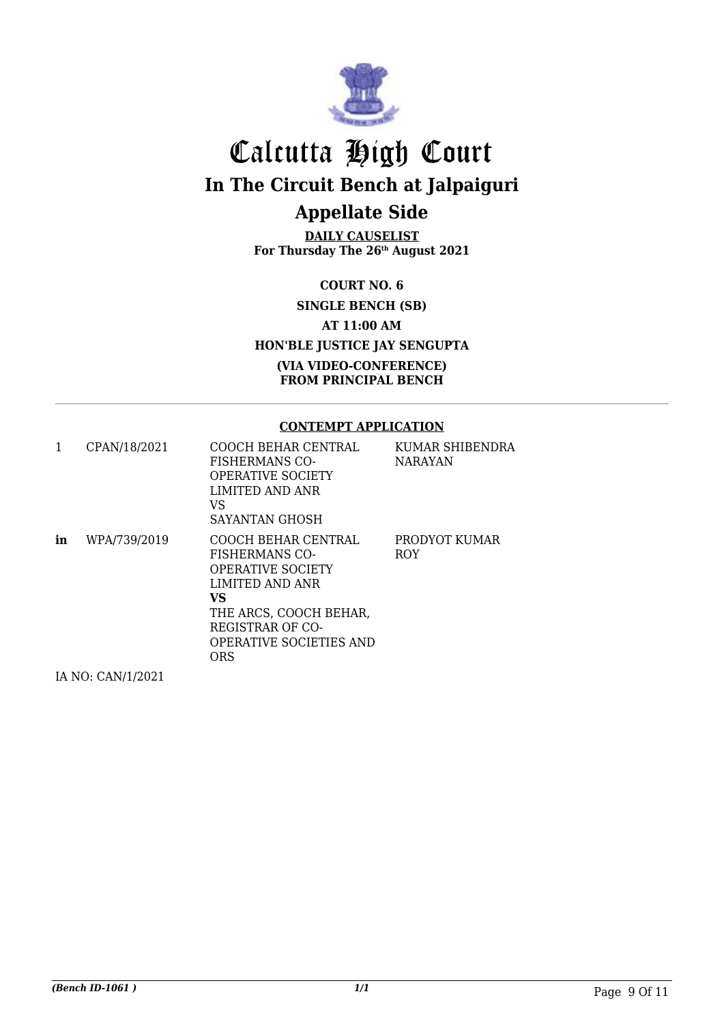

**DAILY CAUSELIST For Thursday The 26th August 2021**

**COURT NO. 6**

**SINGLE BENCH (SB)**

**AT 11:00 AM**

**HON'BLE JUSTICE JAY SENGUPTA**

**(VIA VIDEO-CONFERENCE) FROM PRINCIPAL BENCH**

#### **CONTEMPT APPLICATION**

| 1  | CPAN/18/2021      | COOCH BEHAR CENTRAL<br><b>FISHERMANS CO-</b><br><b>OPERATIVE SOCIETY</b><br>LIMITED AND ANR<br>VS<br>SAYANTAN GHOSH                                                                              | KUMAR SHIBENDRA<br><b>NARAYAN</b> |
|----|-------------------|--------------------------------------------------------------------------------------------------------------------------------------------------------------------------------------------------|-----------------------------------|
| in | WPA/739/2019      | COOCH BEHAR CENTRAL<br><b>FISHERMANS CO-</b><br><b>OPERATIVE SOCIETY</b><br>LIMITED AND ANR<br>VS.<br>THE ARCS, COOCH BEHAR,<br>REGISTRAR OF CO-<br><b>OPERATIVE SOCIETIES AND</b><br><b>ORS</b> | PRODYOT KUMAR<br><b>ROY</b>       |
|    | IA NO: CAN/1/2021 |                                                                                                                                                                                                  |                                   |

IA NO: CAN/1/2021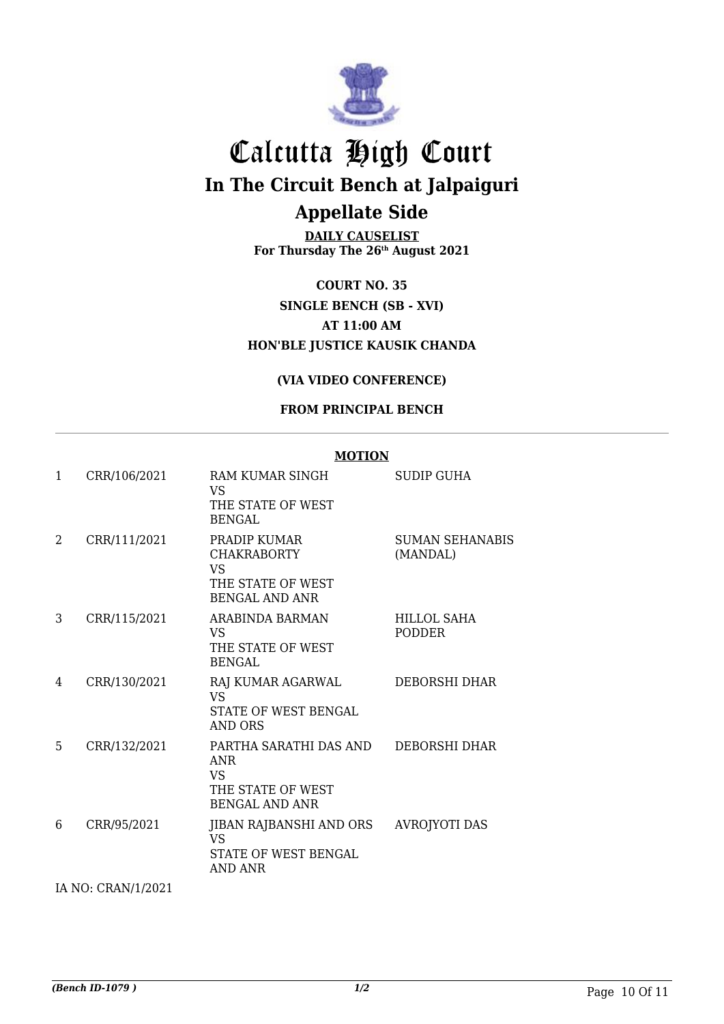

**DAILY CAUSELIST For Thursday The 26th August 2021**

**COURT NO. 35 SINGLE BENCH (SB - XVI) AT 11:00 AM HON'BLE JUSTICE KAUSIK CHANDA**

### **(VIA VIDEO CONFERENCE)**

### **FROM PRINCIPAL BENCH**

|   |              | <b>MOTION</b>                                                                             |                              |
|---|--------------|-------------------------------------------------------------------------------------------|------------------------------|
| 1 | CRR/106/2021 | RAM KUMAR SINGH<br><b>VS</b><br>THE STATE OF WEST<br><b>BENGAL</b>                        | SUDIP GUHA                   |
| 2 | CRR/111/2021 | PRADIP KUMAR<br><b>CHAKRABORTY</b><br>VS.<br>THE STATE OF WEST<br><b>BENGAL AND ANR</b>   | SUMAN SEHANABIS<br>(MANDAL)  |
| 3 | CRR/115/2021 | ARABINDA BARMAN<br>VS.<br>THE STATE OF WEST<br><b>BENGAL</b>                              | HILLOL SAHA<br><b>PODDER</b> |
| 4 | CRR/130/2021 | RAJ KUMAR AGARWAL<br><b>VS</b><br>STATE OF WEST BENGAL<br><b>AND ORS</b>                  | <b>DEBORSHI DHAR</b>         |
| 5 | CRR/132/2021 | PARTHA SARATHI DAS AND<br><b>ANR</b><br>VS.<br>THE STATE OF WEST<br><b>BENGAL AND ANR</b> | <b>DEBORSHI DHAR</b>         |
| 6 | CRR/95/2021  | JIBAN RAJBANSHI AND ORS<br><b>VS</b><br>STATE OF WEST BENGAL<br><b>AND ANR</b>            | <b>AVROJYOTI DAS</b>         |

IA NO: CRAN/1/2021